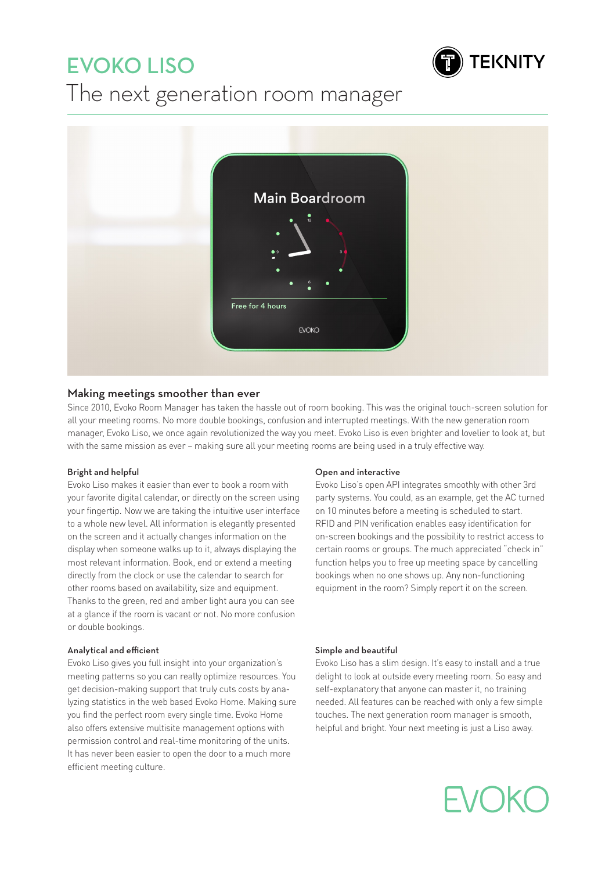# EVOKO LISO



## The next generation room manager



## Making meetings smoother than ever

Since 2010, Evoko Room Manager has taken the hassle out of room booking. This was the original touch-screen solution for all your meeting rooms. No more double bookings, confusion and interrupted meetings. With the new generation room manager, Evoko Liso, we once again revolutionized the way you meet. Evoko Liso is even brighter and lovelier to look at, but with the same mission as ever – making sure all your meeting rooms are being used in a truly effective way.

## Bright and helpful

Evoko Liso makes it easier than ever to book a room with your favorite digital calendar, or directly on the screen using your fingertip. Now we are taking the intuitive user interface to a whole new level. All information is elegantly presented on the screen and it actually changes information on the display when someone walks up to it, always displaying the most relevant information. Book, end or extend a meeting directly from the clock or use the calendar to search for other rooms based on availability, size and equipment. Thanks to the green, red and amber light aura you can see at a glance if the room is vacant or not. No more confusion or double bookings.

## Analytical and efficient

Evoko Liso gives you full insight into your organization's meeting patterns so you can really optimize resources. You get decision-making support that truly cuts costs by analyzing statistics in the web based Evoko Home. Making sure you find the perfect room every single time. Evoko Home also offers extensive multisite management options with permission control and real-time monitoring of the units. It has never been easier to open the door to a much more efficient meeting culture.

## Open and interactive

Evoko Liso's open API integrates smoothly with other 3rd party systems. You could, as an example, get the AC turned on 10 minutes before a meeting is scheduled to start. RFID and PIN verification enables easy identification for on-screen bookings and the possibility to restrict access to certain rooms or groups. The much appreciated "check in" function helps you to free up meeting space by cancelling bookings when no one shows up. Any non-functioning equipment in the room? Simply report it on the screen.

## Simple and beautiful

Evoko Liso has a slim design. It's easy to install and a true delight to look at outside every meeting room. So easy and self-explanatory that anyone can master it, no training needed. All features can be reached with only a few simple touches. The next generation room manager is smooth, helpful and bright. Your next meeting is just a Liso away.

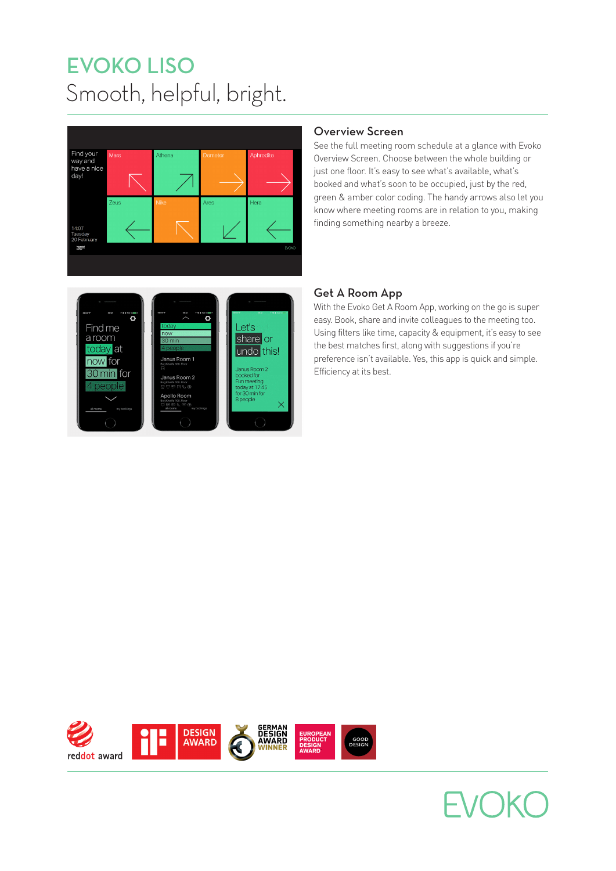# Smooth, helpful, bright. EVOKO LISO





## Overview Screen

See the full meeting room schedule at a glance with Evoko Overview Screen. Choose between the whole building or just one floor. It's easy to see what's available, what's booked and what's soon to be occupied, just by the red, green & amber color coding. The handy arrows also let you know where meeting rooms are in relation to you, making finding something nearby a breeze.

## Get A Room App

With the Evoko Get A Room App, working on the go is super easy. Book, share and invite colleagues to the meeting too. Using filters like time, capacity & equipment, it's easy to see the best matches first, along with suggestions if you're preference isn't available. Yes, this app is quick and simple. Efficiency at its best.